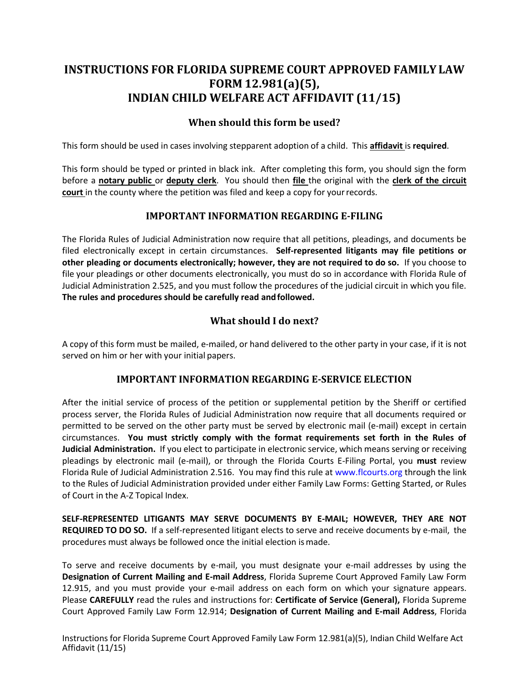# **INSTRUCTIONS FOR FLORIDA SUPREME COURT APPROVED FAMILY LAW FORM 12.981(a)(5), INDIAN CHILD WELFARE ACT AFFIDAVIT (11/15)**

## **When should this form be used?**

This form should be used in cases involving stepparent adoption of a child. This **affidavit** is **required**.

 This form should be typed or printed in black ink. After completing this form, you should sign the form before a **notary public** or **deputy clerk**. You should then **file** the original with the **clerk of the circuit court** in the county where the petition was filed and keep a copy for your records.

#### **IMPORTANT INFORMATION REGARDING E-FILING**

 The Florida Rules of Judicial Administration now require that all petitions, pleadings, and documents be filed electronically except in certain circumstances. **Self-represented litigants may file petitions or other pleading or documents electronically; however, they are not required to do so.** If you choose to file your pleadings or other documents electronically, you must do so in accordance with Florida Rule of Judicial Administration 2.525, and you must follow the procedures of the judicial circuit in which you file.  **The rules and procedures should be carefully read and followed.** 

## **What should I do next?**

 A copy of this form must be mailed, e-mailed, or hand delivered to the other party in your case, if it is not served on him or her with your initial papers.

#### **IMPORTANT INFORMATION REGARDING E-SERVICE ELECTION**

 After the initial service of process of the petition or supplemental petition by the Sheriff or certified process server, the Florida Rules of Judicial Administration now require that all documents required or permitted to be served on the other party must be served by electronic mail (e-mail) except in certain  circumstances. **You must strictly comply with the format requirements set forth in the Rules of Judicial Administration.** If you elect to participate in electronic service, which means serving or receiving pleadings by electronic mail (e-mail), or through the Florida Courts E-Filing Portal, you **must** review Florida Rule of Judicial Administration 2.516. You may find this rule at [www.flcourts.org](http://www.flcourts.org/) through the link to the Rules of Judicial Administration provided under either Family Law Forms: Getting Started, or Rules of Court in the A-Z Topical Index.

 **SELF-REPRESENTED LITIGANTS MAY SERVE DOCUMENTS BY E-MAIL; HOWEVER, THEY ARE NOT REQUIRED TO DO SO.** If a self-represented litigant elects to serve and receive documents by e-mail, the procedures must always be followed once the initial election is made.

 To serve and receive documents by e-mail, you must designate your e-mail addresses by using the  **Designation of Current Mailing and E-mail Address**, Florida Supreme Court Approved Family Law Form 12.915, and you must provide your e-mail address on each form on which your signature appears. Court Approved Family Law Form 12.914; **Designation of Current Mailing and E-mail Address**, Florida Please **CAREFULLY** read the rules and instructions for: **Certificate of Service (General),** Florida Supreme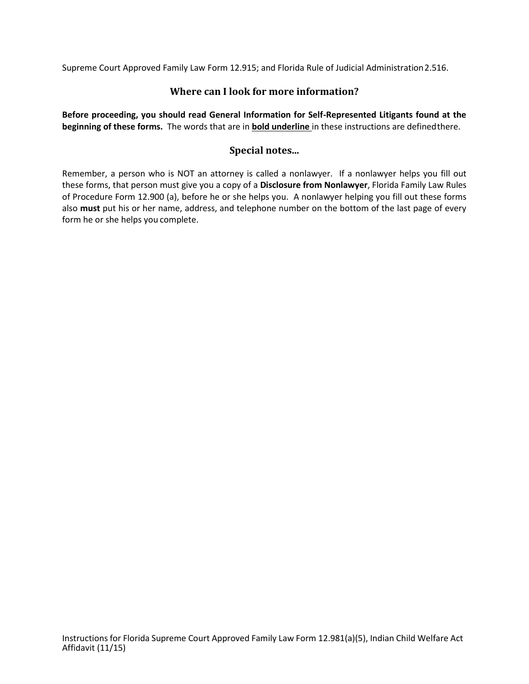Supreme Court Approved Family Law Form 12.915; and Florida Rule of Judicial Administration2.516.

### **Where can I look for more information?**

 **Before proceeding, you should read General Information for Self-Represented Litigants found at the beginning of these forms.** The words that are in **bold underline** in these instructions are definedthere.

### **Special notes...**

 Remember, a person who is NOT an attorney is called a nonlawyer. If a nonlawyer helps you fill out of Procedure Form 12.900 (a), before he or she helps you. A nonlawyer helping you fill out these forms also **must** put his or her name, address, and telephone number on the bottom of the last page of every form he or she helps you complete. these forms, that person must give you a copy of a **Disclosure from Nonlawyer**, Florida Family Law Rules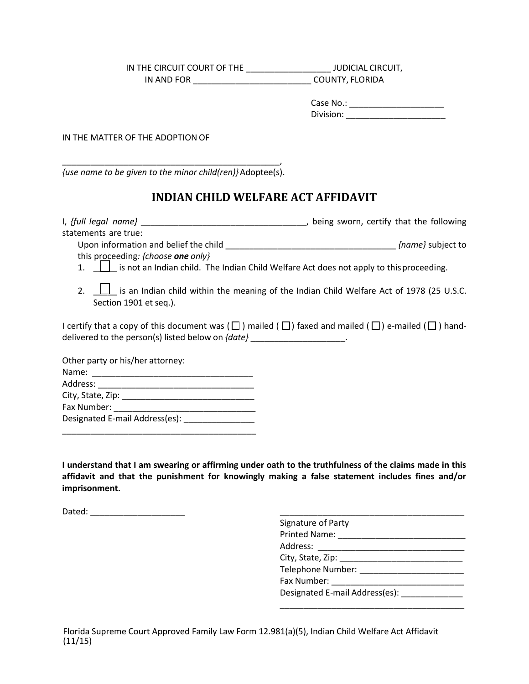| IN THE CIRCUIT COURT OF THE | <b>JUDICIAL CIRCUIT,</b> |
|-----------------------------|--------------------------|
| IN AND FOR                  | COUNTY, FLORIDA          |

| Case No.: |  |  |
|-----------|--|--|
| Division: |  |  |

IN THE MATTER OF THE ADOPTION OF

\_\_\_\_\_\_\_\_\_\_\_\_\_\_\_\_\_\_\_\_\_\_\_\_\_\_\_\_\_\_\_\_\_\_\_\_\_\_\_\_\_\_\_\_\_\_, *{use name to be given to the minor child(ren)}* Adoptee(s).

## **INDIAN CHILD WELFARE ACT AFFIDAVIT**

| statements are true:                                                                                                                                                                                     |  |
|----------------------------------------------------------------------------------------------------------------------------------------------------------------------------------------------------------|--|
| this proceeding: {choose one only}                                                                                                                                                                       |  |
| 1. <b>I</b> is not an Indian child. The Indian Child Welfare Act does not apply to this proceeding.                                                                                                      |  |
| 2. $\Box$ is an Indian child within the meaning of the Indian Child Welfare Act of 1978 (25 U.S.C.<br>Section 1901 et seq.).                                                                             |  |
| I certify that a copy of this document was ( $\Box$ ) mailed ( $\Box$ ) faxed and mailed ( $\Box$ ) e-mailed ( $\Box$ ) hand-<br>delivered to the person(s) listed below on {date} ____________________. |  |
| Other party or his/her attorney:                                                                                                                                                                         |  |
|                                                                                                                                                                                                          |  |
|                                                                                                                                                                                                          |  |
|                                                                                                                                                                                                          |  |
|                                                                                                                                                                                                          |  |
| Designated E-mail Address(es): _______________                                                                                                                                                           |  |

 **I understand that I am swearing or affirming under oath to the truthfulness of the claims made in this affidavit and that the punishment for knowingly making a false statement includes fines and/or imprisonment.** 

Dated: \_\_\_\_\_\_\_\_\_\_\_\_\_\_\_\_\_\_\_\_ \_\_\_\_\_\_\_\_\_\_\_\_\_\_\_\_\_\_\_\_\_\_\_\_\_\_\_\_\_\_\_\_\_\_\_\_\_\_\_

| Signature of Party                         |
|--------------------------------------------|
| Printed Name:                              |
| Address: _______________________           |
| City, State, Zip: ________________________ |
| Telephone Number: _____________            |
| Fax Number: ___________________            |
| Designated E-mail Address(es):             |
|                                            |